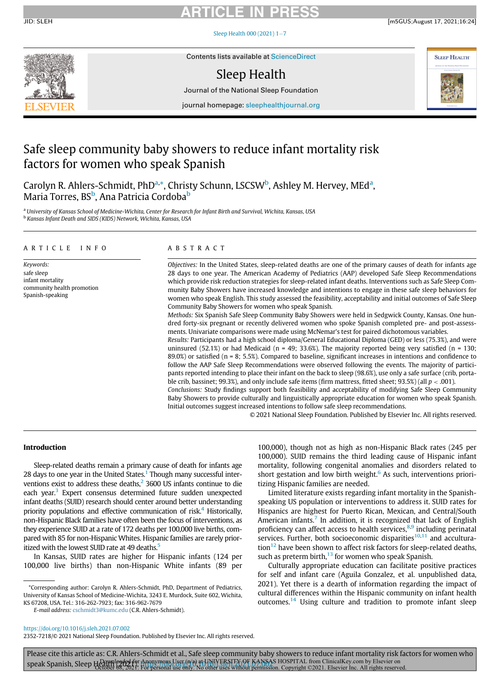# ARTICLE IN PRESS

JID: SLEH [m5GUS;August 17, 2021;16:24]

Sleep Health  $000(2021)$  1-[7](https://doi.org/10.1016/j.sleh.2021.07.002)



Contents lists available at [ScienceDirect](http://www.ScienceDirect.com)

# Sleep Health

Journal of the National Sleep Foundation



journal homepage: [sleephealthjournal.org](http://sleephealthjournal.org)

# Safe sleep community baby showers to reduce infant mortality risk factors for women who speak Spanish

Carolyn R. Ahlers-Schmidt, PhD<sup>[a,](#page-0-0)\*</sup>, Christy Schunn, LSCSW<sup>[b](#page-0-2)</sup>, Ashley M. Hervey, MEd<sup>[a](#page-0-0)</sup>, Maria Torres, BS<sup>[b](#page-0-2)</sup>, Ana Patricia Cordoba<sup>b</sup>

<span id="page-0-2"></span><span id="page-0-0"></span>a University of Kansas School of Medicine-Wichita, Center for Research for Infant Birth and Survival, Wichita, Kansas, USA <sup>b</sup> Kansas Infant Death and SIDS (KIDS) Network, Wichita, Kansas, USA

### ARTICLE INFO ABSTRACT

Keywords: safe sleep infant mortality community health promotion Spanish-speaking

Objectives: In the United States, sleep-related deaths are one of the primary causes of death for infants age 28 days to one year. The American Academy of Pediatrics (AAP) developed Safe Sleep Recommendations which provide risk reduction strategies for sleep-related infant deaths. Interventions such as Safe Sleep Community Baby Showers have increased knowledge and intentions to engage in these safe sleep behaviors for women who speak English. This study assessed the feasibility, acceptability and initial outcomes of Safe Sleep Community Baby Showers for women who speak Spanish.

Methods: Six Spanish Safe Sleep Community Baby Showers were held in Sedgwick County, Kansas. One hundred forty-six pregnant or recently delivered women who spoke Spanish completed pre- and post-assessments. Univariate comparisons were made using McNemar's test for paired dichotomous variables.

Results: Participants had a high school diploma/General Educational Diploma (GED) or less (75.3%), and were uninsured (52.1%) or had Medicaid (n = 49; 33.6%). The majority reported being very satisfied (n = 130; 89.0%) or satisfied (n = 8; 5.5%). Compared to baseline, significant increases in intentions and confidence to follow the AAP Safe Sleep Recommendations were observed following the events. The majority of participants reported intending to place their infant on the back to sleep (98.6%), use only a safe surface (crib, portable crib, bassinet; 99.3%), and only include safe items (firm mattress, fitted sheet; 93.5%) (all  $p < .001$ ).

Conclusions: Study findings support both feasibility and acceptability of modifying Safe Sleep Community Baby Showers to provide culturally and linguistically appropriate education for women who speak Spanish. Initial outcomes suggest increased intentions to follow safe sleep recommendations.

© 2021 National Sleep Foundation. Published by Elsevier Inc. All rights reserved.

### Introduction

Sleep-related deaths remain a primary cause of death for infants age 28 days to one year in the United States.<sup>[1](#page-5-0)</sup> Though many successful interventions exist to address these deaths, $2$  3600 US infants continue to die each year.<sup>[3](#page-5-2)</sup> Expert consensus determined future sudden unexpected infant deaths (SUID) research should center around better understanding priority populations and effective communication of risk.<sup>4</sup> Historically, non-Hispanic Black families have often been the focus of interventions, as they experience SUID at a rate of 172 deaths per 100,000 live births, compared with 85 for non-Hispanic Whites. Hispanic families are rarely prioritized with the lowest SUID rate at 49 deaths.<sup>5</sup>

In Kansas, SUID rates are higher for Hispanic infants (124 per 100,000 live births) than non-Hispanic White infants (89 per

<span id="page-0-1"></span>\*Corresponding author: Carolyn R. Ahlers-Schmidt, PhD, Department of Pediatrics, University of Kansas School of Medicine-Wichita, 3243 E. Murdock, Suite 602, Wichita, KS 67208, USA. Tel.: 316-262-7923; fax: 316-962-7679

E-mail address: [cschmidt3@kumc.edu](mailto:cschmidt3@kumc.edu) (C.R. Ahlers-Schmidt).

100,000), though not as high as non-Hispanic Black rates (245 per 100,000). SUID remains the third leading cause of Hispanic infant mortality, following congenital anomalies and disorders related to short gestation and low birth weight. $6$  As such, interventions prioritizing Hispanic families are needed.

Limited literature exists regarding infant mortality in the Spanishspeaking US population or interventions to address it. SUID rates for Hispanics are highest for Puerto Rican, Mexican, and Central/South American infants.<sup>[7](#page-5-6)</sup> In addition, it is recognized that lack of English proficiency can affect access to health services, $8,9$  $8,9$  including perinatal services. Further, both socioeconomic disparities $10,11$  $10,11$  $10,11$  and accultura- $\frac{12}{2}$  $\frac{12}{2}$  $\frac{12}{2}$  have been shown to affect risk factors for sleep-related deaths, such as preterm birth, $13$  for women who speak Spanish.

Culturally appropriate education can facilitate positive practices for self and infant care (Aguila Gonzalez, et al. unpublished data, 2021). Yet there is a dearth of information regarding the impact of cultural differences within the Hispanic community on infant health outcomes. $14$  Using culture and tradition to promote infant sleep

<https://doi.org/10.1016/j.sleh.2021.07.002>

2352-7218/© 2021 National Sleep Foundation. Published by Elsevier Inc. All rights reserved.

Please cite this article as: C.R. Ahlers-Schmidt et al., Safe sleep community baby showers to reduce infant mortality risk factors for women who speak Spanish, Sleep Hanwploaded for Anonymous User (n/a) at UNIVERSITY OF KANSAS HOSPITAL from ClinicalKey.com by Elsevier on<br>Speak Spanish, Sleep Hetober 08, 2021. For personal use only. No other uses without permission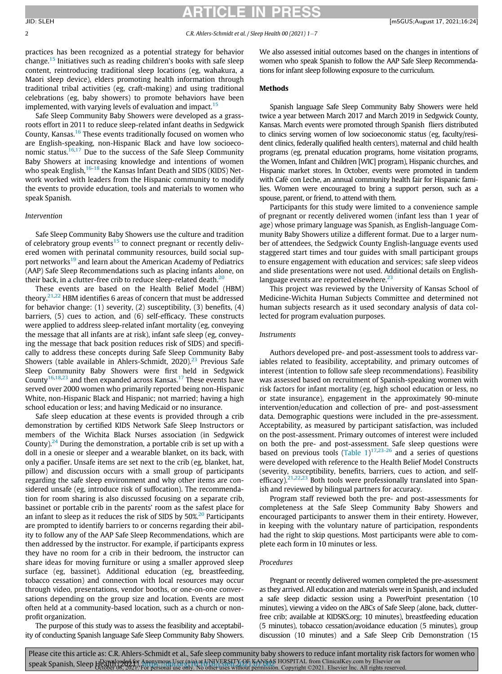## RTICLE IN PRES

2 C.R. Ahlers-Schmidt et al. / Sleep Health 00 (2021) 1-7

practices has been recognized as a potential strategy for behavior change.[15](#page-6-4) Initiatives such as reading children's books with safe sleep content, reintroducing traditional sleep locations (eg, wahakura, a Maori sleep device), elders promoting health information through traditional tribal activities (eg, craft-making) and using traditional celebrations (eg, baby showers) to promote behaviors have been implemented, with varying levels of evaluation and impact.<sup>[15](#page-6-4)</sup>

Safe Sleep Community Baby Showers were developed as a grassroots effort in 2011 to reduce sleep-related infant deaths in Sedgwick County, Kansas.<sup>16</sup> These events traditionally focused on women who are English-speaking, non-Hispanic Black and have low socioeconomic status.[16](#page-6-5),[17](#page-6-6) Due to the success of the Safe Sleep Community Baby Showers at increasing knowledge and intentions of women who speak English,<sup>[16](#page-6-5)-[18](#page-6-7)</sup> the Kansas Infant Death and SIDS (KIDS) Network worked with leaders from the Hispanic community to modify the events to provide education, tools and materials to women who speak Spanish.

### Intervention

Safe Sleep Community Baby Showers use the culture and tradition of celebratory group events<sup>[15](#page-6-4)</sup> to connect pregnant or recently delivered women with perinatal community resources, build social sup-port networks<sup>[19](#page-6-8)</sup> and learn about the American Academy of Pediatrics (AAP) Safe Sleep Recommendations such as placing infants alone, on their back, in a clutter-free crib to reduce sleep-related death. $^{20}$  $^{20}$  $^{20}$ 

These events are based on the Health Belief Model (HBM) theory.<sup>[21,](#page-6-10)[22](#page-6-11)</sup> HBM identifies 6 areas of concern that must be addressed for behavior change: (1) severity, (2) susceptibility, (3) benefits, (4) barriers, (5) cues to action, and (6) self-efficacy. These constructs were applied to address sleep-related infant mortality (eg, conveying the message that all infants are at risk), infant safe sleep (eg, conveying the message that back position reduces risk of SIDS) and specifically to address these concepts during Safe Sleep Community Baby Showers (table available in Ahlers-Schmidt, 2020).<sup>[23](#page-6-12)</sup> Previous Safe Sleep Community Baby Showers were first held in Sedgwick County<sup>[16,](#page-6-5)[18](#page-6-7)[,23](#page-6-12)</sup> and then expanded across Kansas.<sup>[17](#page-6-6)</sup> These events have served over 2000 women who primarily reported being non-Hispanic White, non-Hispanic Black and Hispanic; not married; having a high school education or less; and having Medicaid or no insurance.

Safe sleep education at these events is provided through a crib demonstration by certified KIDS Network Safe Sleep Instructors or members of the Wichita Black Nurses association (in Sedgwick County).<sup>[24](#page-6-13)</sup> During the demonstration, a portable crib is set up with a doll in a onesie or sleeper and a wearable blanket, on its back, with only a pacifier. Unsafe items are set next to the crib (eg, blanket, hat, pillow) and discussion occurs with a small group of participants regarding the safe sleep environment and why other items are considered unsafe (eg, introduce risk of suffocation). The recommendation for room sharing is also discussed focusing on a separate crib, bassinet or portable crib in the parents' room as the safest place for an infant to sleep as it reduces the risk of SIDS by  $50\%^{20}$  $50\%^{20}$  $50\%^{20}$  Participants are prompted to identify barriers to or concerns regarding their ability to follow any of the AAP Safe Sleep Recommendations, which are then addressed by the instructor. For example, if participants express they have no room for a crib in their bedroom, the instructor can share ideas for moving furniture or using a smaller approved sleep surface (eg, bassinet). Additional education (eg, breastfeeding, tobacco cessation) and connection with local resources may occur through video, presentations, vendor booths, or one-on-one conversations depending on the group size and location. Events are most often held at a community-based location, such as a church or nonprofit organization.

The purpose of this study was to assess the feasibility and acceptability of conducting Spanish language Safe Sleep Community Baby Showers.

We also assessed initial outcomes based on the changes in intentions of women who speak Spanish to follow the AAP Safe Sleep Recommendations for infant sleep following exposure to the curriculum.

#### Methods

Spanish language Safe Sleep Community Baby Showers were held twice a year between March 2017 and March 2019 in Sedgwick County, Kansas. March events were promoted through Spanish fliers distributed to clinics serving women of low socioeconomic status (eg, faculty/resident clinics, federally qualified health centers), maternal and child health programs (eg, prenatal education programs, home visitation programs, the Women, Infant and Children [WIC] program), Hispanic churches, and Hispanic market stores. In October, events were promoted in tandem with Café con Leche, an annual community health fair for Hispanic families. Women were encouraged to bring a support person, such as a spouse, parent, or friend, to attend with them.

Participants for this study were limited to a convenience sample of pregnant or recently delivered women (infant less than 1 year of age) whose primary language was Spanish, as English-language Community Baby Showers utilize a different format. Due to a larger number of attendees, the Sedgwick County English-language events used staggered start times and tour guides with small participant groups to ensure engagement with education and services; safe sleep videos and slide presentations were not used. Additional details on Englishlanguage events are reported elsewhere. $23$ 

This project was reviewed by the University of Kansas School of Medicine-Wichita Human Subjects Committee and determined not human subjects research as it used secondary analysis of data collected for program evaluation purposes.

### Instruments

Authors developed pre- and post-assessment tools to address variables related to feasibility, acceptability, and primary outcomes of interest (intention to follow safe sleep recommendations). Feasibility was assessed based on recruitment of Spanish-speaking women with risk factors for infant mortality (eg, high school education or less, no or state insurance), engagement in the approximately 90-minute intervention/education and collection of pre- and post-assessment data. Demographic questions were included in the pre-assessment. Acceptability, as measured by participant satisfaction, was included on the post-assessment. Primary outcomes of interest were included on both the pre- and post-assessment. Safe sleep questions were based on previous tools (Table  $1$ )<sup>[17,](#page-6-6)[23-26](#page-6-12)</sup> and a series of questions were developed with reference to the Health Belief Model Constructs (severity, susceptibility, benefits, barriers, cues to action, and selfefficacy). $21,22,23$  $21,22,23$  $21,22,23$  $21,22,23$  Both tools were professionally translated into Spanish and reviewed by bilingual partners for accuracy.

Program staff reviewed both the pre- and post-assessments for completeness at the Safe Sleep Community Baby Showers and encouraged participants to answer them in their entirety. However, in keeping with the voluntary nature of participation, respondents had the right to skip questions. Most participants were able to complete each form in 10 minutes or less.

### Procedures

Pregnant or recently delivered women completed the pre-assessment as they arrived. All education and materials were in Spanish, and included a safe sleep didactic session using a PowerPoint presentation (10 minutes), viewing a video on the ABCs of Safe Sleep (alone, back, clutterfree crib; available at KIDSKS.org; 10 minutes), breastfeeding education (5 minutes), tobacco cessation/avoidance education (5 minutes), group discussion (10 minutes) and a Safe Sleep Crib Demonstration (15

Please cite this article as: C.R. Ahlers-Schmidt et al., Safe sleep community baby showers to reduce infant mortality risk factors for women who speak Spanish, Sleep Hanyploadel for Anonymous User (n/a) at UNIVERSITY OF KANSAS HOSPITAL from ClinicalKey.com by Elsevier on<br>Speak Spanish, Sleep Hetober 08, 2021. For personal use only. No other uses without permission.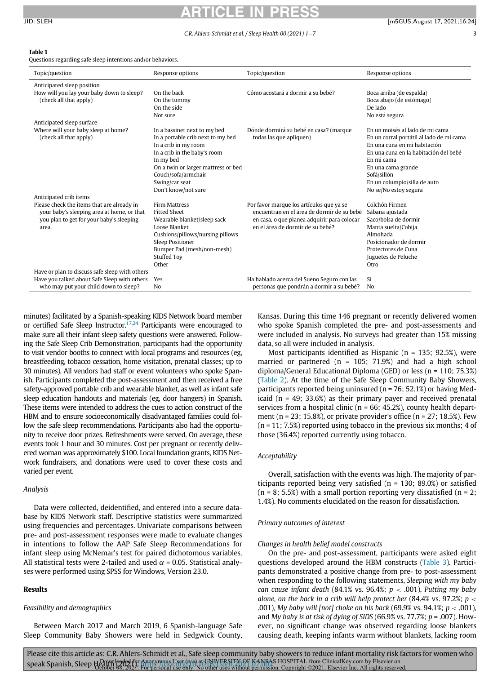# RTICLE IN

#### C.R. Ahlers-Schmidt et al. / Sleep Health 00 (2021) 1-7 3

<span id="page-2-0"></span>Table 1

Questions regarding safe sleep intentions and/or behaviors.

| Topic/question                                                                                                                                                          | Response options                                                                                                                                                                                                                              | Topic/question                                                                                                                                                            | Response options                                                                                                                                                                                                                                                 |
|-------------------------------------------------------------------------------------------------------------------------------------------------------------------------|-----------------------------------------------------------------------------------------------------------------------------------------------------------------------------------------------------------------------------------------------|---------------------------------------------------------------------------------------------------------------------------------------------------------------------------|------------------------------------------------------------------------------------------------------------------------------------------------------------------------------------------------------------------------------------------------------------------|
| Anticipated sleep position<br>How will you lay your baby down to sleep?<br>(check all that apply)                                                                       | On the back<br>On the tummy<br>On the side<br>Not sure                                                                                                                                                                                        | Cómo acostará a dormir a su bebé?                                                                                                                                         | Boca arriba (de espalda)<br>Boca abajo (de estómago)<br>De lado<br>No está segura                                                                                                                                                                                |
| Anticipated sleep surface<br>Where will your baby sleep at home?<br>(check all that apply)                                                                              | In a bassinet next to my bed<br>In a portable crib next to my bed<br>In a crib in my room<br>In a crib in the baby's room<br>In my bed<br>On a twin or larger mattress or bed<br>Couch/sofa/armchair<br>Swing/car seat<br>Don't know/not sure | Dónde dormirá su bebé en casa? (marque<br>todas las que apliquen)                                                                                                         | En un moisés al lado de mi cama<br>En un corral portátil al lado de mi cama<br>En una cuna en mi habitación<br>En una cuna en la habitación del bebé<br>En mi cama<br>En una cama grande<br>Sofá/sillón<br>En un columpio/silla de auto<br>No se/No estoy segura |
| Anticipated crib items<br>Please check the items that are already in<br>your baby's sleeping area at home, or that<br>you plan to get for your baby's sleeping<br>area. | <b>Firm Mattress</b><br><b>Fitted Sheet</b><br>Wearable blanket/sleep sack<br>Loose Blanket<br>Cushions/pillows/nursing pillows<br>Sleep Positioner<br>Bumper Pad (mesh/non-mesh)<br><b>Stuffed Toy</b><br>Other                              | Por favor marque los artículos que ya se<br>encuentran en el área de dormir de su bebé<br>en casa, o que planea adquirir para colocar<br>en el área de dormir de su bebé? | Colchón Firmen<br>Sábana ajustada<br>Saco/bolsa de dormir<br>Manta suelta/Cobija<br>Almohada<br>Posicionador de dormir<br>Protectores de Cuna<br>Juguetes de Peluche<br>Otro                                                                                     |
| Have or plan to discuss safe sleep with others<br>Have you talked about Safe Sleep with others<br>who may put your child down to sleep?                                 | Yes<br>No                                                                                                                                                                                                                                     | Ha hablado acerca del Sueño Seguro con las<br>personas que pondrán a dormir a su bebé?                                                                                    | Si<br>No                                                                                                                                                                                                                                                         |

minutes) facilitated by a Spanish-speaking KIDS Network board member or certified Safe Sleep Instructor.<sup>[17](#page-6-6)[,24](#page-6-13)</sup> Participants were encouraged to make sure all their infant sleep safety questions were answered. Following the Safe Sleep Crib Demonstration, participants had the opportunity to visit vendor booths to connect with local programs and resources (eg, breastfeeding, tobacco cessation, home visitation, prenatal classes; up to 30 minutes). All vendors had staff or event volunteers who spoke Spanish. Participants completed the post-assessment and then received a free safety-approved portable crib and wearable blanket, as well as infant safe sleep education handouts and materials (eg, door hangers) in Spanish. These items were intended to address the cues to action construct of the HBM and to ensure socioeconomically disadvantaged families could follow the safe sleep recommendations. Participants also had the opportunity to receive door prizes. Refreshments were served. On average, these events took 1 hour and 30 minutes. Cost per pregnant or recently delivered woman was approximately \$100. Local foundation grants, KIDS Network fundraisers, and donations were used to cover these costs and varied per event.

### Analysis

Data were collected, deidentified, and entered into a secure database by KIDS Network staff. Descriptive statistics were summarized using frequencies and percentages. Univariate comparisons between pre- and post-assessment responses were made to evaluate changes in intentions to follow the AAP Safe Sleep Recommendations for infant sleep using McNemar's test for paired dichotomous variables. All statistical tests were 2-tailed and used  $\alpha$  = 0.05. Statistical analyses were performed using SPSS for Windows, Version 23.0.

#### Results

#### Feasibility and demographics

Between March 2017 and March 2019, 6 Spanish-language Safe Sleep Community Baby Showers were held in Sedgwick County, Kansas. During this time 146 pregnant or recently delivered women who spoke Spanish completed the pre- and post-assessments and were included in analysis. No surveys had greater than 15% missing data, so all were included in analysis.

Most participants identified as Hispanic (n = 135; 92.5%), were married or partnered (n = 105; 71.9%) and had a high school diploma/General Educational Diploma (GED) or less (n = 110; 75.3%) ([Table 2](#page-3-0)). At the time of the Safe Sleep Community Baby Showers, participants reported being uninsured (n = 76; 52.1%) or having Medicaid (n = 49; 33.6%) as their primary payer and received prenatal services from a hospital clinic ( $n = 66$ ; 45.2%), county health department (n = 23; 15.8%), or private provider's office (n = 27; 18.5%). Few  $(n = 11; 7.5%)$  reported using tobacco in the previous six months; 4 of those (36.4%) reported currently using tobacco.

### Acceptability

Overall, satisfaction with the events was high. The majority of participants reported being very satisfied (n = 130; 89.0%) or satisfied  $(n = 8; 5.5%)$  with a small portion reporting very dissatisfied  $(n = 2;$ 1.4%). No comments elucidated on the reason for dissatisfaction.

#### Primary outcomes of interest

#### Changes in health belief model constructs

On the pre- and post-assessment, participants were asked eight questions developed around the HBM constructs [\(Table 3\)](#page-4-0). Participants demonstrated a positive change from pre- to post-assessment when responding to the following statements, Sleeping with my baby can cause infant death (84.1% vs. 96.4%;  $p < .001$ ), Putting my baby alone, on the back in a crib will help protect her (84.4% vs. 97.2%;  $p <$ .001), My baby will [not] choke on his back (69.9% vs. 94.1%;  $p < .001$ ), and My baby is at risk of dying of SIDS (66.9% vs. 77.7%;  $p = .007$ ). However, no significant change was observed regarding loose blankets causing death, keeping infants warm without blankets, lacking room

Please cite this article as: C.R. Ahlers-Schmidt et al., Safe sleep community baby showers to reduce infant mortality risk factors for women who speak Spanish, Sleep Hanwploaded for Anonymous User (n/a) at UNIVERSITY OF KANSAS HOSPITAL from ClinicalKey.com by Elsevier on<br>Speak Spanish, Sleep Hetober 08, 2021. For personal use only. No other uses without permission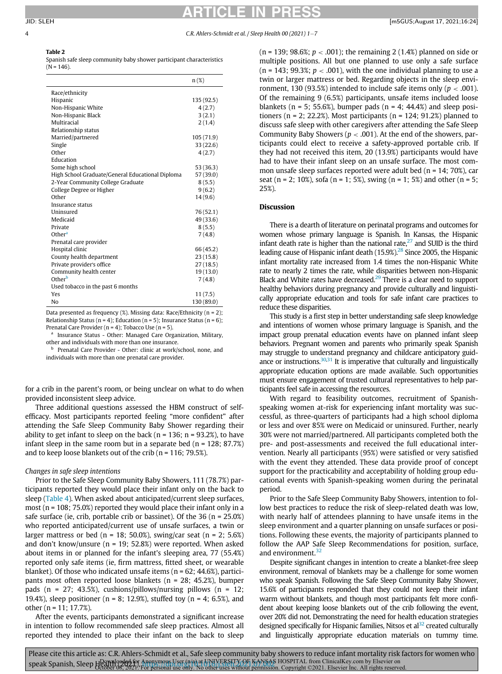# RTICLE IN **P**

#### <span id="page-3-0"></span>4 C.R. Ahlers-Schmidt et al. / Sleep Health 00 (2021) 1-7

### Table 2

Spanish safe sleep community baby shower participant characteristics  $(N = 146)$ .

|                                                  | $n(\%)$    |
|--------------------------------------------------|------------|
| Race/ethnicity                                   |            |
| Hispanic                                         | 135 (92.5) |
| Non-Hispanic White                               | 4(2.7)     |
| Non-Hispanic Black                               | 3(2.1)     |
| Multiracial                                      | 2(1.4)     |
| Relationship status                              |            |
| Married/partnered                                | 105(71.9)  |
| Single                                           | 33 (22.6)  |
| Other                                            | 4(2.7)     |
| Education                                        |            |
| Some high school                                 | 53 (36.3)  |
| High School Graduate/General Educational Diploma | 57 (39.0)  |
| 2-Year Community College Graduate                | 8(5.5)     |
| College Degree or Higher                         | 9(6.2)     |
| Other                                            | 14(9.6)    |
| Insurance status                                 |            |
| <b>Uninsured</b>                                 | 76 (52.1)  |
| Medicaid                                         | 49 (33.6)  |
| Private                                          | 8(5.5)     |
| Other <sup>a</sup>                               | 7(4.8)     |
| Prenatal care provider                           |            |
| Hospital clinic                                  | 66 (45.2)  |
| County health department                         | 23(15.8)   |
| Private provider's office                        | 27(18.5)   |
| Community health center                          | 19(13.0)   |
| Other <sup>b</sup>                               | 7(4.8)     |
| Used tobacco in the past 6 months                |            |
| Yes                                              | 11(7.5)    |
| No                                               | 130 (89.0) |

Data presented as frequency  $(\%)$ . Missing data: Race/Ethnicity  $(n = 2)$ ; Relationship Status (n = 4); Education (n = 5); Insurance Status (n = 6); Prenatal Care Provider (n = 4); Tobacco Use (n = 5).

<span id="page-3-2"></span><span id="page-3-1"></span><sup>a</sup> Insurance Status - Other: Managed Care Organization, Military, other and individuals with more than one insurance.

Prenatal Care Provider - Other: clinic at work/school, none, and individuals with more than one prenatal care provider.

for a crib in the parent's room, or being unclear on what to do when provided inconsistent sleep advice.

Three additional questions assessed the HBM construct of selfefficacy. Most participants reported feeling "more confident" after attending the Safe Sleep Community Baby Shower regarding their ability to get infant to sleep on the back ( $n = 136$ ;  $n = 93.2$ %), to have infant sleep in the same room but in a separate bed  $(n = 128; 87.7%)$ and to keep loose blankets out of the crib ( $n = 116$ ; 79.5%).

#### Changes in safe sleep intentions

Prior to the Safe Sleep Community Baby Showers, 111 (78.7%) participants reported they would place their infant only on the back to sleep ([Table 4\)](#page-4-1). When asked about anticipated/current sleep surfaces, most ( $n = 108$ ; 75.0%) reported they would place their infant only in a safe surface (ie, crib, portable crib or bassinet). Of the  $36$  (n =  $25.0\%$ ) who reported anticipated/current use of unsafe surfaces, a twin or larger mattress or bed ( $n = 18$ ; 50.0%), swing/car seat ( $n = 2$ ; 5.6%) and don't know/unsure (n = 19; 52.8%) were reported. When asked about items in or planned for the infant's sleeping area, 77 (55.4%) reported only safe items (ie, firm mattress, fitted sheet, or wearable blanket). Of those who indicated unsafe items ( $n = 62$ ; 44.6%), participants most often reported loose blankets (n = 28; 45.2%), bumper pads (n = 27; 43.5%), cushions/pillows/nursing pillows (n = 12; 19.4%), sleep positioner ( $n = 8$ ; 12.9%), stuffed toy ( $n = 4$ ; 6.5%), and other (n = 11; 17.7%).

After the events, participants demonstrated a significant increase in intention to follow recommended safe sleep practices. Almost all reported they intended to place their infant on the back to sleep (n = 139; 98.6%;  $p < .001$ ); the remaining 2 (1.4%) planned on side or multiple positions. All but one planned to use only a safe surface  $(n = 143; 99.3\%; p < .001)$ , with the one individual planning to use a twin or larger mattress or bed. Regarding objects in the sleep environment, 130 (93.5%) intended to include safe items only ( $p < .001$ ). Of the remaining 9 (6.5%) participants, unsafe items included loose blankets ( $n = 5$ ; 55.6%), bumper pads ( $n = 4$ ; 44.4%) and sleep positioners ( $n = 2$ ; 22.2%). Most participants ( $n = 124$ ; 91.2%) planned to discuss safe sleep with other caregivers after attending the Safe Sleep Community Baby Showers ( $p < .001$ ). At the end of the showers, participants could elect to receive a safety-approved portable crib. If they had not received this item, 20 (13.9%) participants would have had to have their infant sleep on an unsafe surface. The most common unsafe sleep surfaces reported were adult bed (n = 14; 70%), car seat (n = 2; 10%), sofa (n = 1; 5%), swing (n = 1; 5%) and other (n = 5; 25%).

#### **Discussion**

There is a dearth of literature on perinatal programs and outcomes for women whose primary language is Spanish. In Kansas, the Hispanic infant death rate is higher than the national rate, $27$  and SUID is the third leading cause of Hispanic infant death (15.9%).<sup>28</sup> Since 2005, the Hispanic infant mortality rate increased from 1.4 times the non-Hispanic White rate to nearly 2 times the rate, while disparities between non-Hispanic Black and White rates have decreased.<sup>[29](#page-6-16)</sup> There is a clear need to support healthy behaviors during pregnancy and provide culturally and linguistically appropriate education and tools for safe infant care practices to reduce these disparities.

This study is a first step in better understanding safe sleep knowledge and intentions of women whose primary language is Spanish, and the impact group prenatal education events have on planned infant sleep behaviors. Pregnant women and parents who primarily speak Spanish may struggle to understand pregnancy and childcare anticipatory guid-ance or instructions.<sup>30[,31](#page-6-18)</sup> It is imperative that culturally and linguistically appropriate education options are made available. Such opportunities must ensure engagement of trusted cultural representatives to help participants feel safe in accessing the resources.

With regard to feasibility outcomes, recruitment of Spanishspeaking women at-risk for experiencing infant mortality was successful, as three-quarters of participants had a high school diploma or less and over 85% were on Medicaid or uninsured. Further, nearly 30% were not married/partnered. All participants completed both the pre- and post-assessments and received the full educational intervention. Nearly all participants (95%) were satisfied or very satisfied with the event they attended. These data provide proof of concept support for the practicability and acceptability of holding group educational events with Spanish-speaking women during the perinatal period.

Prior to the Safe Sleep Community Baby Showers, intention to follow best practices to reduce the risk of sleep-related death was low, with nearly half of attendees planning to have unsafe items in the sleep environment and a quarter planning on unsafe surfaces or positions. Following these events, the majority of participants planned to follow the AAP Safe Sleep Recommendations for position, surface, and environment.<sup>[32](#page-6-19)</sup>

Despite significant changes in intention to create a blanket-free sleep environment, removal of blankets may be a challenge for some women who speak Spanish. Following the Safe Sleep Community Baby Shower, 15.6% of participants responded that they could not keep their infant warm without blankets, and though most participants felt more confident about keeping loose blankets out of the crib following the event, over 20% did not. Demonstrating the need for health education strategies designed specifically for Hispanic families, Nitsos et al<sup>32</sup> created culturally and linguistically appropriate education materials on tummy time.

Please cite this article as: C.R. Ahlers-Schmidt et al., Safe sleep community baby showers to reduce infant mortality risk factors for women who speak Spanish, Sleep Hanyploadel for Anonymous User (n/a) at UNIVERSITY OF KANSAS HOSPITAL from ClinicalKey.com by Elsevier on<br>Speak Spanish, Sleep Hetober 08, 2021. For personal use only. No other uses without permission.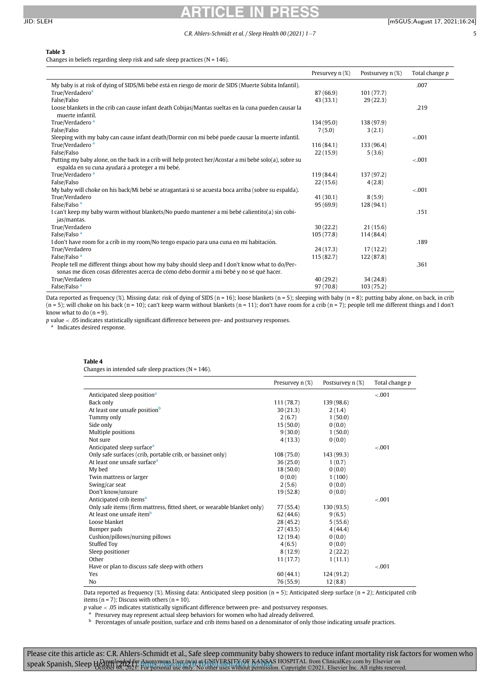# ARTICLE IN PRESS

### <span id="page-4-0"></span>Table 3

Changes in beliefs regarding sleep risk and safe sleep practices ( $N = 146$ ).

|                                                                                                                                                            | Presurvey n (%) | Postsurvey $n$ (%) | Total change p |
|------------------------------------------------------------------------------------------------------------------------------------------------------------|-----------------|--------------------|----------------|
| My baby is at risk of dying of SIDS/Mi bebé está en riesgo de morir de SIDS (Muerte Súbita Infantil).                                                      |                 |                    | .007           |
| True/Verdadero <sup>a</sup>                                                                                                                                | 87 (66.9)       | 101(77.7)          |                |
| False/Falso                                                                                                                                                | 43 (33.1)       | 29(22.3)           |                |
| Loose blankets in the crib can cause infant death Cobijas/Mantas sueltas en la cuna pueden causar la<br>muerte infantil.                                   |                 |                    | .219           |
| True/Verdadero <sup>a</sup>                                                                                                                                | 134 (95.0)      | 138 (97.9)         |                |
| False/Falso                                                                                                                                                | 7(5.0)          | 3(2.1)             |                |
| Sleeping with my baby can cause infant death/Dormir con mi bebé puede causar la muerte infantil.                                                           |                 |                    | $-.001$        |
| True/Verdadero <sup>a</sup>                                                                                                                                | 116(84.1)       | 133 (96.4)         |                |
| False/Falso                                                                                                                                                | 22(15.9)        | 5(3.6)             |                |
| Putting my baby alone, on the back in a crib will help protect her/Acostar a mi bebé solo(a), sobre su<br>espalda en su cuna ayudará a proteger a mi bebé. |                 |                    | $-.001$        |
| True/Verdadero <sup>a</sup>                                                                                                                                | 119 (84.4)      | 137 (97.2)         |                |
| False/Falso                                                                                                                                                | 22(15.6)        | 4(2.8)             |                |
| My baby will choke on his back/Mi bebé se atragantará si se acuesta boca arriba (sobre su espalda).                                                        |                 |                    | $-.001$        |
| True/Verdadero                                                                                                                                             | 41(30.1)        | 8(5.9)             |                |
| False/Falso <sup>a</sup>                                                                                                                                   | 95(69.9)        | 128 (94.1)         |                |
| I can't keep my baby warm without blankets/No puedo mantener a mi bebé calientito(a) sin cobi-<br>jas/mantas.                                              |                 |                    | .151           |
| True/Verdadero                                                                                                                                             | 30(22.2)        | 21(15.6)           |                |
| False/Falso <sup>a</sup>                                                                                                                                   | 105(77.8)       | 114 (84.4)         |                |
| I don't have room for a crib in my room/No tengo espacio para una cuna en mi habitación.                                                                   |                 |                    | .189           |
| True/Verdadero                                                                                                                                             | 24(17.3)        | 17(12.2)           |                |
| False/Falso <sup>a</sup>                                                                                                                                   | 115(82.7)       | 122 (87.8)         |                |
| People tell me different things about how my baby should sleep and I don't know what to do/Per-                                                            |                 |                    | .361           |
| sonas me dicen cosas diferentes acerca de cómo debo dormir a mi bebé y no sé qué hacer.                                                                    |                 |                    |                |
| True/Verdadero                                                                                                                                             | 40(29.2)        | 34(24.8)           |                |
| False/Falso <sup>a</sup>                                                                                                                                   | 97(70.8)        | 103(75.2)          |                |

Data reported as frequency (%). Missing data: risk of dying of SIDS (n = 16); loose blankets (n = 5); sleeping with baby (n = 8); putting baby alone, on back, in crib  $(n = 5)$ ; will choke on his back  $(n = 10)$ ; can't keep warm without blankets  $(n = 11)$ ; don't have room for a crib  $(n = 7)$ ; people tell me different things and I don't know what to do  $(n = 9)$ .

<span id="page-4-2"></span>p value < .05 indicates statistically significant difference between pre- and postsurvey responses.

<span id="page-4-1"></span><sup>a</sup> Indicates desired response.

### Table 4

Changes in intended safe sleep practices ( $N = 146$ ).

|                                                                         | Presurvey $n$ (%) | Postsurvey $n$ (%) | Total change p |
|-------------------------------------------------------------------------|-------------------|--------------------|----------------|
| Anticipated sleep position <sup>a</sup>                                 |                   |                    | $-.001$        |
| Back only                                                               | 111 (78.7)        | 139 (98.6)         |                |
| At least one unsafe position <sup>b</sup>                               | 30(21.3)          | 2(1.4)             |                |
| Tummy only                                                              | 2(6.7)            | 1(50.0)            |                |
| Side only                                                               | 15(50.0)          | 0(0.0)             |                |
| Multiple positions                                                      | 9(30.0)           | 1(50.0)            |                |
| Not sure                                                                | 4(13.3)           | 0(0.0)             |                |
| Anticipated sleep surface <sup>a</sup>                                  |                   |                    | $-.001$        |
| Only safe surfaces (crib, portable crib, or bassinet only)              | 108(75.0)         | 143 (99.3)         |                |
| At least one unsafe surface <sup>a</sup>                                | 36(25.0)          | 1(0.7)             |                |
| My bed                                                                  | 18(50.0)          | 0(0.0)             |                |
| Twin mattress or larger                                                 | 0(0.0)            | 1(100)             |                |
| Swing/car seat                                                          | 2(5.6)            | 0(0.0)             |                |
| Don't know/unsure                                                       | 19(52.8)          | 0(0.0)             |                |
| Anticipated crib items <sup>a</sup>                                     |                   |                    | $-.001$        |
| Only safe items (firm mattress, fitted sheet, or wearable blanket only) | 77 (55.4)         | 130(93.5)          |                |
| At least one unsafe item <sup>b</sup>                                   | 62 (44.6)         | 9(6.5)             |                |
| Loose blanket                                                           | 28 (45.2)         | 5(55.6)            |                |
| Bumper pads                                                             | 27(43.5)          | 4(44.4)            |                |
| Cushion/pillows/nursing pillows                                         | 12 (19.4)         | 0(0.0)             |                |
| <b>Stuffed Toy</b>                                                      | 4(6.5)            | 0(0.0)             |                |
| Sleep positioner                                                        | 8 (12.9)          | 2(22.2)            |                |
| Other                                                                   | 11(17.7)          | 1(11.1)            |                |
| Have or plan to discuss safe sleep with others                          |                   |                    | $-.001$        |
| Yes                                                                     | 60(44.1)          | 124 (91.2)         |                |
| No                                                                      | 76 (55.9)         | 12(8.8)            |                |

Data reported as frequency (%). Missing data: Anticipated sleep position (n = 5); Anticipated sleep surface (n = 2); Anticipated crib items ( $n = 7$ ); Discuss with others ( $n = 10$ ).

p value < .05 indicates statistically significant difference between pre- and postsurvey responses.

a Presurvey may represent actual sleep behaviors for women who had already delivered.

b Percentages of unsafe position, surface and crib items based on a denominator of only those indicating unsafe practices.

<span id="page-4-3"></span>Please cite this article as: C.R. Ahlers-Schmidt et al., Safe sleep community baby showers to reduce infant mortality risk factors for women who speak Spanish, Sleep Hanwploaded for Anonymous User (n/a) at UNIVERSITY OF KANSAS HOSPITAL from ClinicalKey.com by Elsevier on<br>Speak Spanish, Sleep Hetober 08, 2021. For personal use only. No other uses without permission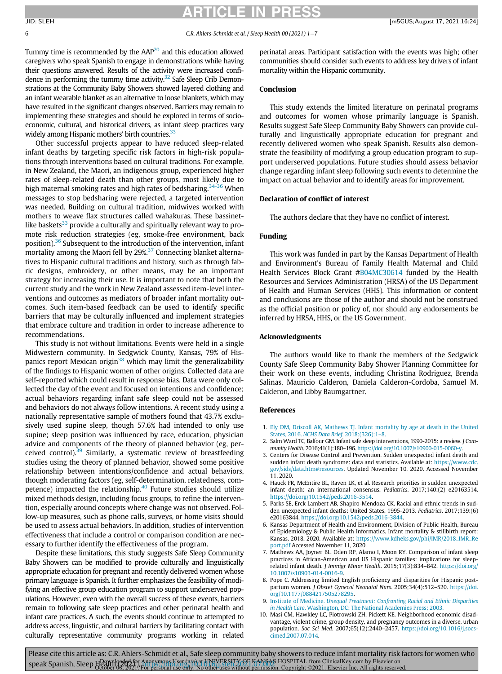## ARTICLE IN PRESS

Tummy time is recommended by the  $AAP<sup>20</sup>$  and this education allowed caregivers who speak Spanish to engage in demonstrations while having their questions answered. Results of the activity were increased confidence in performing the tummy time activity. $32$  Safe Sleep Crib Demonstrations at the Community Baby Showers showed layered clothing and an infant wearable blanket as an alternative to loose blankets, which may have resulted in the significant changes observed. Barriers may remain to implementing these strategies and should be explored in terms of socioeconomic, cultural, and historical drivers, as infant sleep practices vary widely among Hispanic mothers' birth countries.<sup>33</sup>

Other successful projects appear to have reduced sleep-related infant deaths by targeting specific risk factors in high-risk populations through interventions based on cultural traditions. For example, in New Zealand, the Maori, an indigenous group, experienced higher rates of sleep-related death than other groups, most likely due to high maternal smoking rates and high rates of bedsharing.<sup>[34-36](#page-6-21)</sup> When messages to stop bedsharing were rejected, a targeted intervention was needed. Building on cultural tradition, midwives worked with mothers to weave flax structures called wahakuras. These bassinetlike baskets $33$  provide a culturally and spiritually relevant way to promote risk reduction strategies (eg, smoke-free environment, back position).<sup>[36](#page-6-22)</sup> Subsequent to the introduction of the intervention, infant mortality among the Maori fell by 29%.<sup>[37](#page-6-23)</sup> Connecting blanket alternatives to Hispanic cultural traditions and history, such as through fabric designs, embroidery, or other means, may be an important strategy for increasing their use. It is important to note that both the current study and the work in New Zealand assessed item-level interventions and outcomes as mediators of broader infant mortality outcomes. Such item-based feedback can be used to identify specific barriers that may be culturally influenced and implement strategies that embrace culture and tradition in order to increase adherence to recommendations.

<span id="page-5-10"></span><span id="page-5-1"></span><span id="page-5-0"></span>This study is not without limitations. Events were held in a single Midwestern community. In Sedgwick County, Kansas, 79% of His-panics report Mexican origin<sup>[38](#page-6-24)</sup> which may limit the generalizability of the findings to Hispanic women of other origins. Collected data are self-reported which could result in response bias. Data were only collected the day of the event and focused on intentions and confidence; actual behaviors regarding infant safe sleep could not be assessed and behaviors do not always follow intentions. A recent study using a nationally representative sample of mothers found that 43.7% exclusively used supine sleep, though 57.6% had intended to only use supine; sleep position was influenced by race, education, physician advice and components of the theory of planned behavior (eg, per-ceived control).<sup>[39](#page-6-25)</sup> Similarly, a systematic review of breastfeeding studies using the theory of planned behavior, showed some positive relationship between intentions/confidence and actual behaviors, though moderating factors (eg, self-determination, relatedness, competence) impacted the relationship. $40$  Future studies should utilize mixed methods design, including focus groups, to refine the intervention, especially around concepts where change was not observed. Follow-up measures, such as phone calls, surveys, or home visits should be used to assess actual behaviors. In addition, studies of intervention effectiveness that include a control or comparison condition are necessary to further identify the effectiveness of the program.

<span id="page-5-8"></span><span id="page-5-7"></span><span id="page-5-6"></span><span id="page-5-5"></span><span id="page-5-4"></span><span id="page-5-3"></span><span id="page-5-2"></span>Despite these limitations, this study suggests Safe Sleep Community Baby Showers can be modified to provide culturally and linguistically appropriate education for pregnant and recently delivered women whose primary language is Spanish. It further emphasizes the feasibility of modifying an effective group education program to support underserved populations. However, even with the overall success of these events, barriers remain to following safe sleep practices and other perinatal health and infant care practices. A such, the events should continue to attempted to address access, linguistic, and cultural barriers by facilitating contact with culturally representative community programs working in related perinatal areas. Participant satisfaction with the events was high; other communities should consider such events to address key drivers of infant mortality within the Hispanic community.

#### Conclusion

This study extends the limited literature on perinatal programs and outcomes for women whose primarily language is Spanish. Results suggest Safe Sleep Community Baby Showers can provide culturally and linguistically appropriate education for pregnant and recently delivered women who speak Spanish. Results also demonstrate the feasibility of modifying a group education program to support underserved populations. Future studies should assess behavior change regarding infant sleep following such events to determine the impact on actual behavior and to identify areas for improvement.

#### Declaration of conflict of interest

The authors declare that they have no conflict of interest.

#### Funding

This work was funded in part by the Kansas Department of Health and Environment's Bureau of Family Health Maternal and Child Health Services Block Grant [#B04MC30614](#page-5-10) funded by the Health Resources and Services Administration (HRSA) of the US Department of Health and Human Services (HHS). This information or content and conclusions are those of the author and should not be construed as the official position or policy of, nor should any endorsements be inferred by HRSA, HHS, or the US Government.

### Acknowledgments

The authors would like to thank the members of the Sedgwick County Safe Sleep Community Baby Shower Planning Committee for their work on these events, including Christina Rodriguez, Brenda Salinas, Mauricio Calderon, Daniela Calderon-Cordoba, Samuel M. Calderon, and Libby Baumgartner.

#### References

- 1. [Ely DM, Driscoll AK, Mathews TJ. Infant mortality by age at death in the United](http://refhub.elsevier.com/S2352-7218(21)00151-0/sbref0001) States, 2016. [NCHS Data Brief](http://refhub.elsevier.com/S2352-7218(21)00151-0/sbref0001). 2018:(326):1–8.
- 2. Salm Ward TC, Balfour GM. Infant safe sleep interventions, 1990-2015: a review. J Community Health. 2016;41(1):180–196. <https://doi.org/10.1007/s10900-015-0060-y>.
- 3. Centers for Disease Control and Prevention. Sudden unexpected infant death and sudden infant death syndrome: data and statistics. Available at: [https://www.cdc.](https://www.cdc.gov/sids/data.htm#resources) [gov/sids/data.htm#resources](https://www.cdc.gov/sids/data.htm#resources). Updated November 10, 2020. Accessed November 11, 2020.
- 4. Hauck FR, McEntire BL, Raven LK, et al. Research priorities in sudden unexpected infant death: an international consensus. Pediatrics. 2017;140:(2) e20163514. [https://doi.org/10.1542/peds.2016-3514.](https://doi.org/10.1542/peds.2016-3514)
- 5. Parks SE, Erck Lambert AB, Shapiro-Mendoza CK. Racial and ethnic trends in sudden unexpected infant deaths: United States, 1995-2013. Pediatrics. 2017;139:(6) e20163844. <https://doi.org/10.1542/peds.2016-3844>.
- 6. Kansas Department of Health and Environment, Division of Public Health, Bureau of Epidemiology & Public Health Informatics. Infant mortality & stillbirth report: Kansas, 2018. 2020. Available at: [https://www.kdheks.gov/phi/IMR/2018\\_IMR\\_Re](https://www.kdheks.gov/phi/IMR/2018_IMR_Report.pdf) [port.pdf](https://www.kdheks.gov/phi/IMR/2018_IMR_Report.pdf) Accessed November 11, 2020.
- 7. Mathews AA, Joyner BL, Oden RP, Alamo I, Moon RY. Comparison of infant sleep practices in African-American and US Hispanic families: implications for sleeprelated infant death. J Immigr Minor Health. 2015;17(3):834–842. [https://doi.org/](https://doi.org/10.1007/s10903-014-0016-9) [10.1007/s10903-014-0016-9.](https://doi.org/10.1007/s10903-014-0016-9)
- 8. Pope C. Addressing limited English proficiency and disparities for Hispanic postpartum women. J Obstet Gynecol Neonatal Nurs. 2005;34(4):512-520. [https://doi.](https://doi.org/10.1177/0884217505278295) [org/10.1177/0884217505278295](https://doi.org/10.1177/0884217505278295).
- 9. Institute of Medicine. [Unequal Treatment: Confronting Racial and Ethnic Disparities](http://refhub.elsevier.com/S2352-7218(21)00151-0/sbref0009) in Health Care[. Washington, DC: The National Academies Press; 2003.](http://refhub.elsevier.com/S2352-7218(21)00151-0/sbref0009)
- 10. Masi CM, Hawkley LC, Piotrowski ZH, Pickett KE. Neighborhood economic disadvantage, violent crime, group density, and pregnancy outcomes in a diverse, urban population. Soc Sci Med. 2007;65(12):2440–2457. [https://doi.org/10.1016/j.socs](https://doi.org/10.1016/j.socscimed.2007.07.014)[cimed.2007.07.014](https://doi.org/10.1016/j.socscimed.2007.07.014).

<span id="page-5-9"></span>Please cite this article as: C.R. Ahlers-Schmidt et al., Safe sleep community baby showers to reduce infant mortality risk factors for women who speak Spanish, Sleep Hanyploadel for Anonymous User (n/a) at UNIVERSITY OF KANSAS HOSPITAL from ClinicalKey.com by Elsevier on<br>Speak Spanish, Sleep Hetober 08, 2021. For personal use only. No other uses without permission.